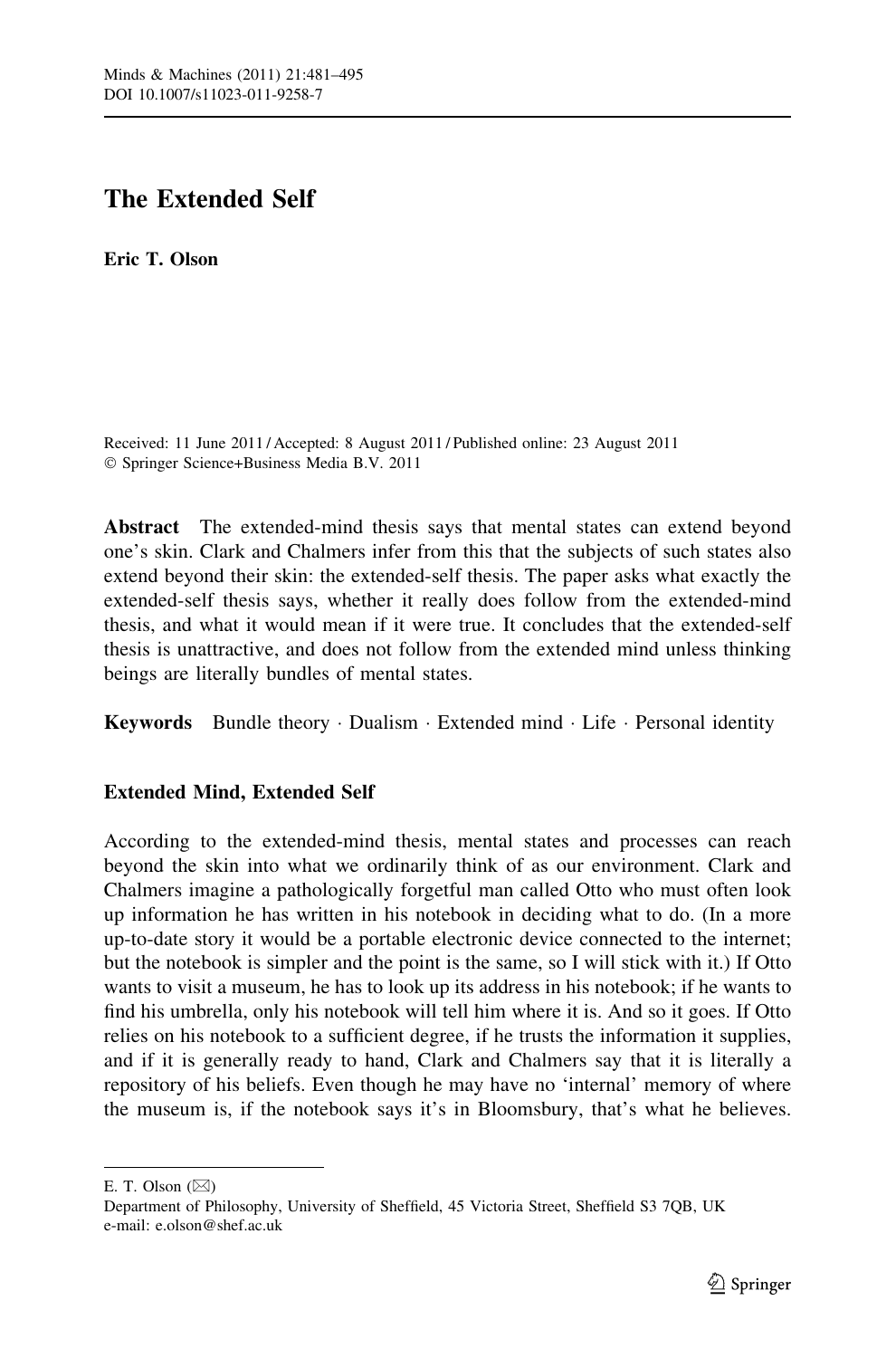# The Extended Self

Eric T. Olson

Received: 11 June 2011 / Accepted: 8 August 2011 / Published online: 23 August 2011 ! Springer Science+Business Media B.V. 2011

Abstract The extended-mind thesis says that mental states can extend beyond one's skin. Clark and Chalmers infer from this that the subjects of such states also extend beyond their skin: the extended-self thesis. The paper asks what exactly the extended-self thesis says, whether it really does follow from the extended-mind thesis, and what it would mean if it were true. It concludes that the extended-self thesis is unattractive, and does not follow from the extended mind unless thinking beings are literally bundles of mental states.

Keywords Bundle theory · Dualism · Extended mind · Life · Personal identity

## Extended Mind, Extended Self

According to the extended-mind thesis, mental states and processes can reach beyond the skin into what we ordinarily think of as our environment. Clark and Chalmers imagine a pathologically forgetful man called Otto who must often look up information he has written in his notebook in deciding what to do. (In a more up-to-date story it would be a portable electronic device connected to the internet; but the notebook is simpler and the point is the same, so I will stick with it.) If Otto wants to visit a museum, he has to look up its address in his notebook; if he wants to find his umbrella, only his notebook will tell him where it is. And so it goes. If Otto relies on his notebook to a sufficient degree, if he trusts the information it supplies, and if it is generally ready to hand, Clark and Chalmers say that it is literally a repository of his beliefs. Even though he may have no 'internal' memory of where the museum is, if the notebook says it's in Bloomsbury, that's what he believes.

E. T. Olson  $(\boxtimes)$ 

Department of Philosophy, University of Sheffield, 45 Victoria Street, Sheffield S3 7QB, UK e-mail: e.olson@shef.ac.uk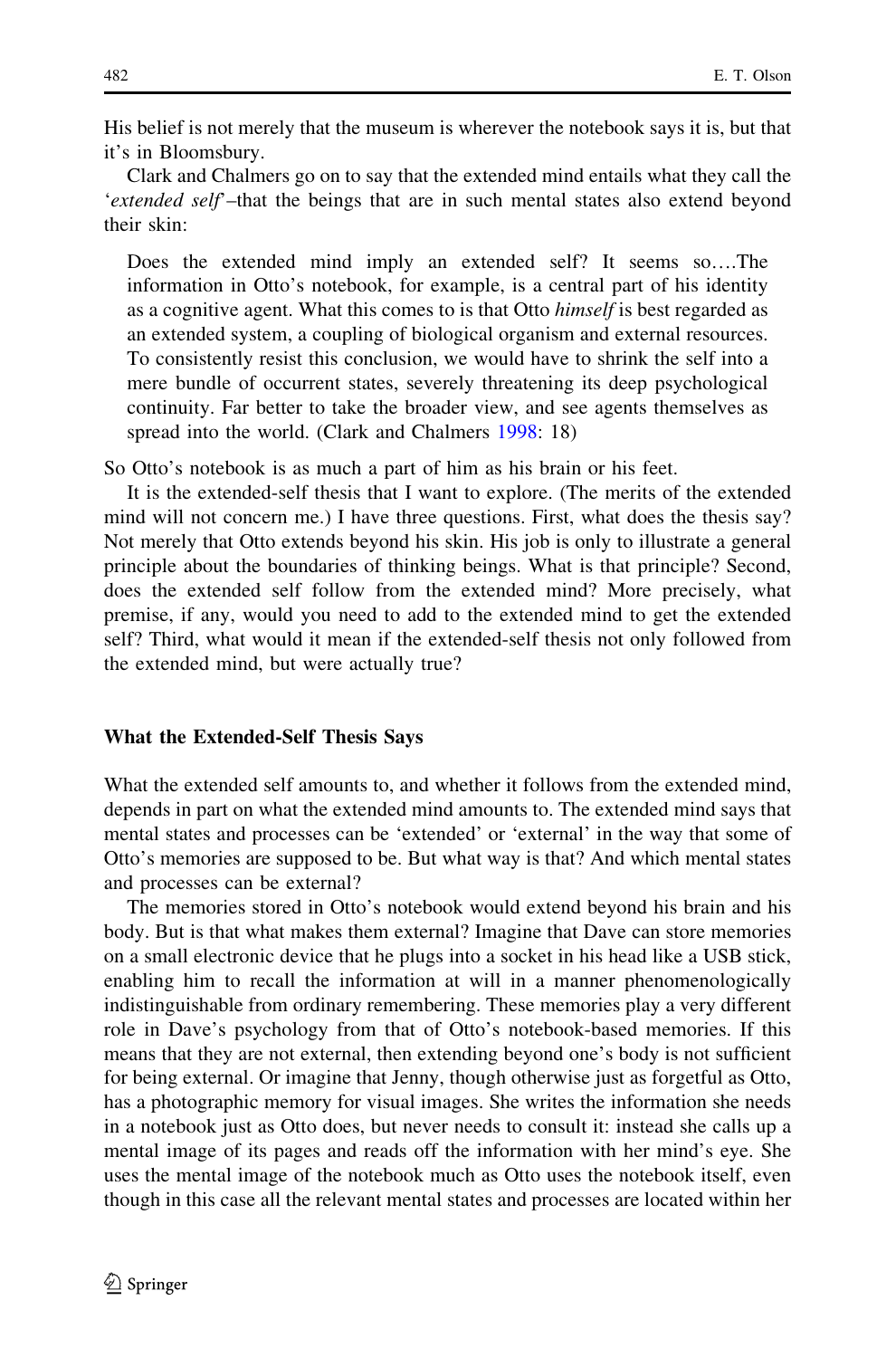His belief is not merely that the museum is wherever the notebook says it is, but that it's in Bloomsbury.

Clark and Chalmers go on to say that the extended mind entails what they call the 'extended self'–that the beings that are in such mental states also extend beyond their skin:

Does the extended mind imply an extended self? It seems so….The information in Otto's notebook, for example, is a central part of his identity as a cognitive agent. What this comes to is that Otto himself is best regarded as an extended system, a coupling of biological organism and external resources. To consistently resist this conclusion, we would have to shrink the self into a mere bundle of occurrent states, severely threatening its deep psychological continuity. Far better to take the broader view, and see agents themselves as spread into the world. (Clark and Chalmers [1998:](#page-14-0) 18)

So Otto's notebook is as much a part of him as his brain or his feet.

It is the extended-self thesis that I want to explore. (The merits of the extended mind will not concern me.) I have three questions. First, what does the thesis say? Not merely that Otto extends beyond his skin. His job is only to illustrate a general principle about the boundaries of thinking beings. What is that principle? Second, does the extended self follow from the extended mind? More precisely, what premise, if any, would you need to add to the extended mind to get the extended self? Third, what would it mean if the extended-self thesis not only followed from the extended mind, but were actually true?

## What the Extended-Self Thesis Says

What the extended self amounts to, and whether it follows from the extended mind, depends in part on what the extended mind amounts to. The extended mind says that mental states and processes can be 'extended' or 'external' in the way that some of Otto's memories are supposed to be. But what way is that? And which mental states and processes can be external?

The memories stored in Otto's notebook would extend beyond his brain and his body. But is that what makes them external? Imagine that Dave can store memories on a small electronic device that he plugs into a socket in his head like a USB stick, enabling him to recall the information at will in a manner phenomenologically indistinguishable from ordinary remembering. These memories play a very different role in Dave's psychology from that of Otto's notebook-based memories. If this means that they are not external, then extending beyond one's body is not sufficient for being external. Or imagine that Jenny, though otherwise just as forgetful as Otto, has a photographic memory for visual images. She writes the information she needs in a notebook just as Otto does, but never needs to consult it: instead she calls up a mental image of its pages and reads off the information with her mind's eye. She uses the mental image of the notebook much as Otto uses the notebook itself, even though in this case all the relevant mental states and processes are located within her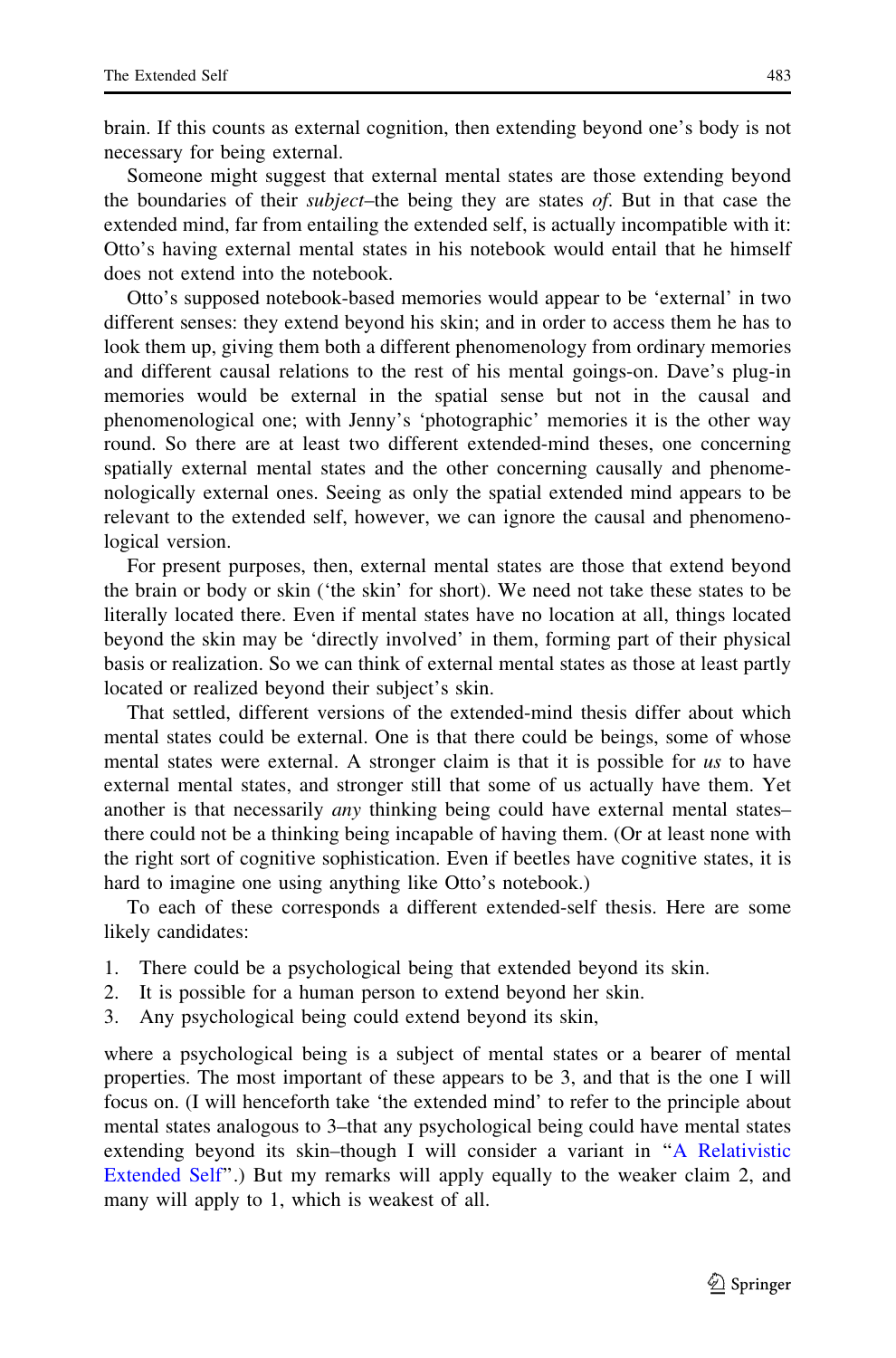brain. If this counts as external cognition, then extending beyond one's body is not necessary for being external.

Someone might suggest that external mental states are those extending beyond the boundaries of their subject–the being they are states of. But in that case the extended mind, far from entailing the extended self, is actually incompatible with it: Otto's having external mental states in his notebook would entail that he himself does not extend into the notebook.

Otto's supposed notebook-based memories would appear to be 'external' in two different senses: they extend beyond his skin; and in order to access them he has to look them up, giving them both a different phenomenology from ordinary memories and different causal relations to the rest of his mental goings-on. Dave's plug-in memories would be external in the spatial sense but not in the causal and phenomenological one; with Jenny's 'photographic' memories it is the other way round. So there are at least two different extended-mind theses, one concerning spatially external mental states and the other concerning causally and phenomenologically external ones. Seeing as only the spatial extended mind appears to be relevant to the extended self, however, we can ignore the causal and phenomenological version.

For present purposes, then, external mental states are those that extend beyond the brain or body or skin ('the skin' for short). We need not take these states to be literally located there. Even if mental states have no location at all, things located beyond the skin may be 'directly involved' in them, forming part of their physical basis or realization. So we can think of external mental states as those at least partly located or realized beyond their subject's skin.

That settled, different versions of the extended-mind thesis differ about which mental states could be external. One is that there could be beings, some of whose mental states were external. A stronger claim is that it is possible for us to have external mental states, and stronger still that some of us actually have them. Yet another is that necessarily *any* thinking being could have external mental states– there could not be a thinking being incapable of having them. (Or at least none with the right sort of cognitive sophistication. Even if beetles have cognitive states, it is hard to imagine one using anything like Otto's notebook.)

To each of these corresponds a different extended-self thesis. Here are some likely candidates:

- 1. There could be a psychological being that extended beyond its skin.
- 2. It is possible for a human person to extend beyond her skin.
- 3. Any psychological being could extend beyond its skin,

where a psychological being is a subject of mental states or a bearer of mental properties. The most important of these appears to be 3, and that is the one I will focus on. (I will henceforth take 'the extended mind' to refer to the principle about mental states analogous to 3–that any psychological being could have mental states extending beyond its skin–though I will consider a variant in '['A Relativistic](#page-9-0) [Extended Self'](#page-9-0)'.) But my remarks will apply equally to the weaker claim 2, and many will apply to 1, which is weakest of all.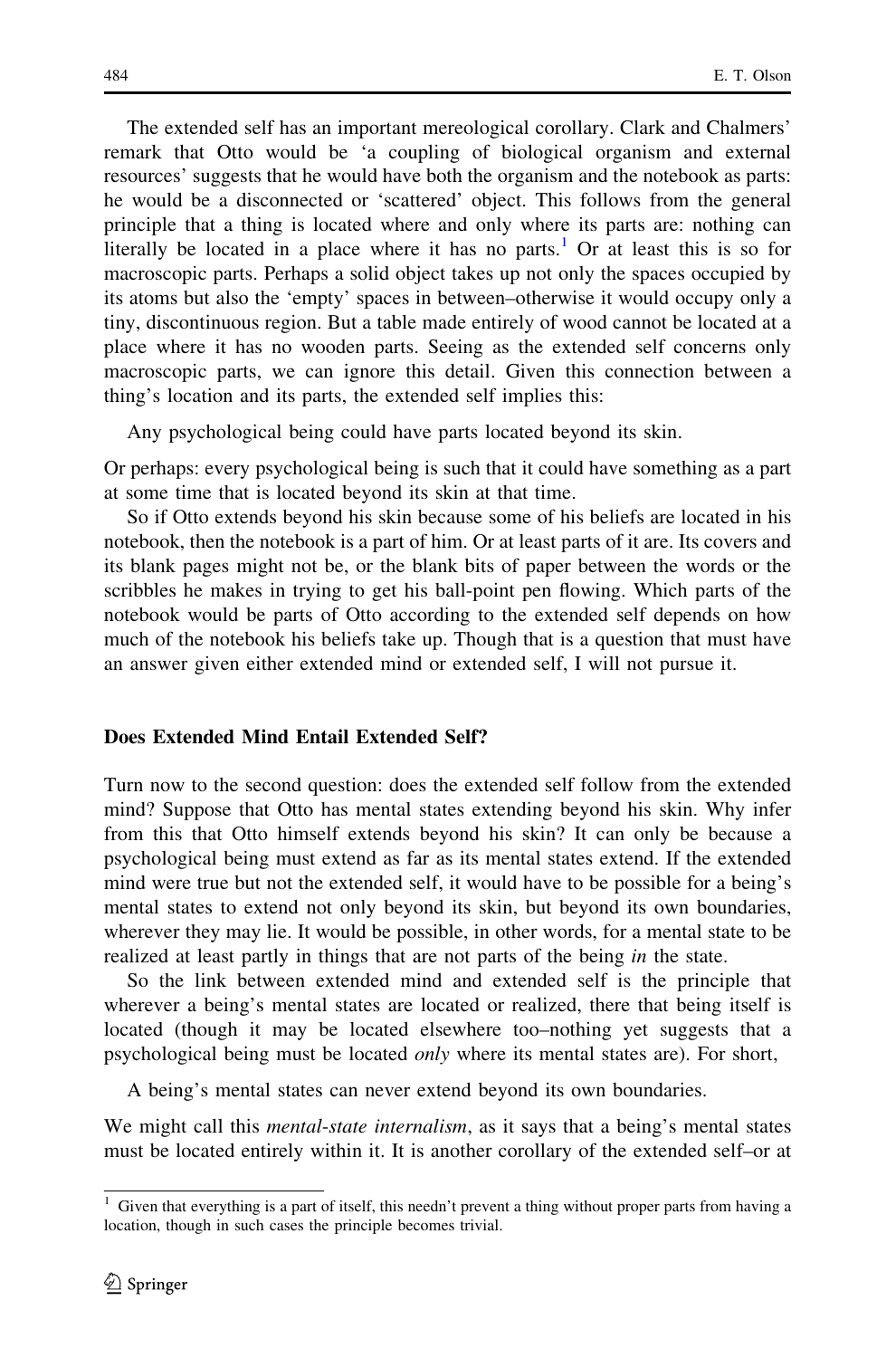The extended self has an important mereological corollary. Clark and Chalmers' remark that Otto would be 'a coupling of biological organism and external resources' suggests that he would have both the organism and the notebook as parts: he would be a disconnected or 'scattered' object. This follows from the general principle that a thing is located where and only where its parts are: nothing can literally be located in a place where it has no parts.<sup>1</sup> Or at least this is so for macroscopic parts. Perhaps a solid object takes up not only the spaces occupied by its atoms but also the 'empty' spaces in between–otherwise it would occupy only a tiny, discontinuous region. But a table made entirely of wood cannot be located at a place where it has no wooden parts. Seeing as the extended self concerns only macroscopic parts, we can ignore this detail. Given this connection between a thing's location and its parts, the extended self implies this:

Any psychological being could have parts located beyond its skin.

Or perhaps: every psychological being is such that it could have something as a part at some time that is located beyond its skin at that time.

So if Otto extends beyond his skin because some of his beliefs are located in his notebook, then the notebook is a part of him. Or at least parts of it are. Its covers and its blank pages might not be, or the blank bits of paper between the words or the scribbles he makes in trying to get his ball-point pen flowing. Which parts of the notebook would be parts of Otto according to the extended self depends on how much of the notebook his beliefs take up. Though that is a question that must have an answer given either extended mind or extended self, I will not pursue it.

#### Does Extended Mind Entail Extended Self?

Turn now to the second question: does the extended self follow from the extended mind? Suppose that Otto has mental states extending beyond his skin. Why infer from this that Otto himself extends beyond his skin? It can only be because a psychological being must extend as far as its mental states extend. If the extended mind were true but not the extended self, it would have to be possible for a being's mental states to extend not only beyond its skin, but beyond its own boundaries, wherever they may lie. It would be possible, in other words, for a mental state to be realized at least partly in things that are not parts of the being in the state.

So the link between extended mind and extended self is the principle that wherever a being's mental states are located or realized, there that being itself is located (though it may be located elsewhere too–nothing yet suggests that a psychological being must be located *only* where its mental states are). For short,

A being's mental states can never extend beyond its own boundaries.

We might call this *mental-state internalism*, as it says that a being's mental states must be located entirely within it. It is another corollary of the extended self–or at

<sup>&</sup>lt;sup>1</sup> Given that everything is a part of itself, this needn't prevent a thing without proper parts from having a location, though in such cases the principle becomes trivial.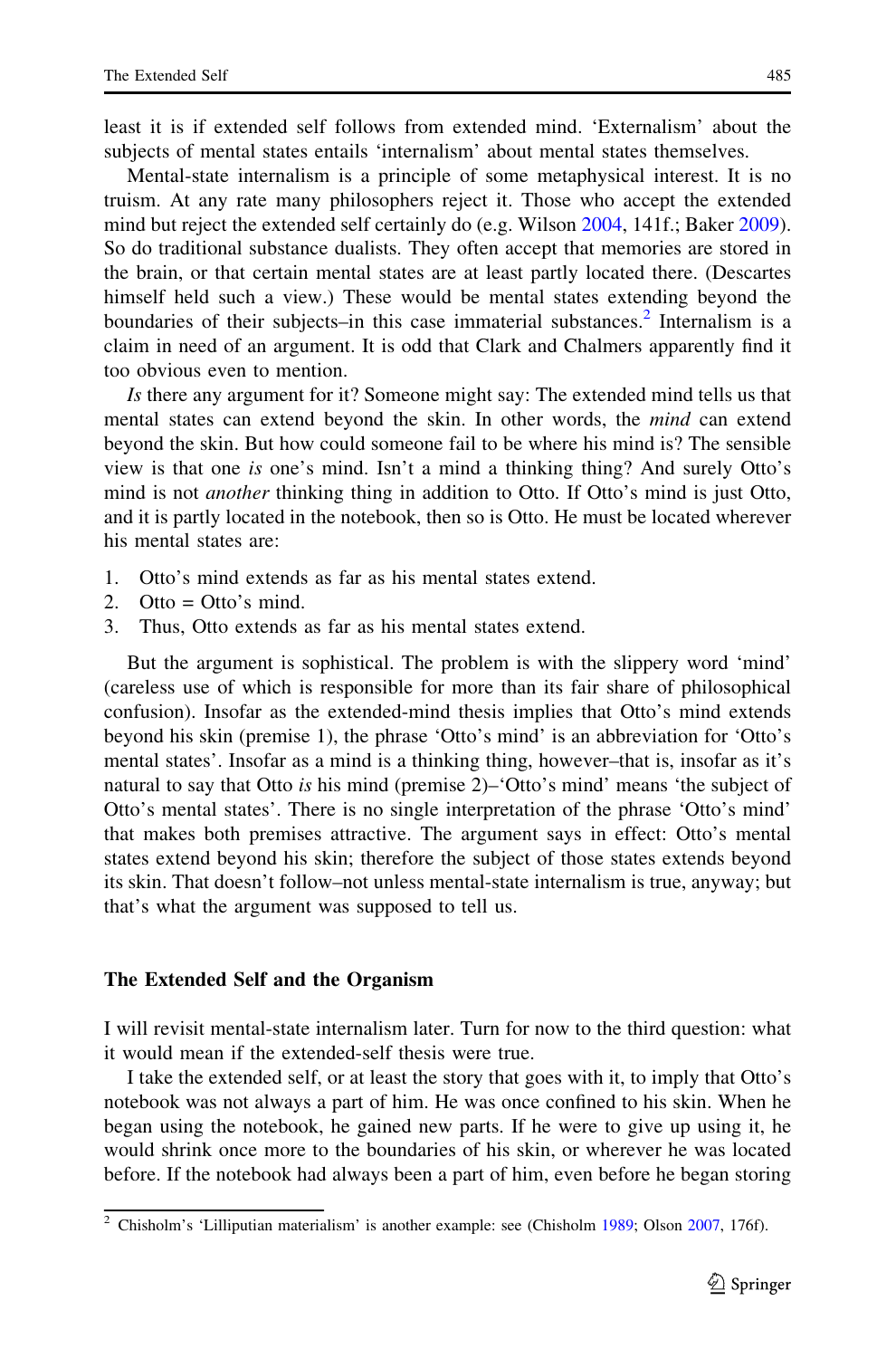subjects of mental states entails 'internalism' about mental states themselves. Mental-state internalism is a principle of some metaphysical interest. It is no truism. At any rate many philosophers reject it. Those who accept the extended mind but reject the extended self certainly do (e.g. Wilson [2004](#page-14-0), 141f.; Baker [2009\)](#page-14-0). So do traditional substance dualists. They often accept that memories are stored in the brain, or that certain mental states are at least partly located there. (Descartes himself held such a view.) These would be mental states extending beyond the boundaries of their subjects–in this case immaterial substances. $<sup>2</sup>$  Internalism is a</sup> claim in need of an argument. It is odd that Clark and Chalmers apparently find it too obvious even to mention.

Is there any argument for it? Someone might say: The extended mind tells us that mental states can extend beyond the skin. In other words, the *mind* can extend beyond the skin. But how could someone fail to be where his mind is? The sensible view is that one is one's mind. Isn't a mind a thinking thing? And surely Otto's mind is not *another* thinking thing in addition to Otto. If Otto's mind is just Otto, and it is partly located in the notebook, then so is Otto. He must be located wherever his mental states are:

- 1. Otto's mind extends as far as his mental states extend.
- 2. Otto = Otto's mind.
- 3. Thus, Otto extends as far as his mental states extend.

But the argument is sophistical. The problem is with the slippery word 'mind' (careless use of which is responsible for more than its fair share of philosophical confusion). Insofar as the extended-mind thesis implies that Otto's mind extends beyond his skin (premise 1), the phrase 'Otto's mind' is an abbreviation for 'Otto's mental states'. Insofar as a mind is a thinking thing, however–that is, insofar as it's natural to say that Otto is his mind (premise 2)–'Otto's mind' means 'the subject of Otto's mental states'. There is no single interpretation of the phrase 'Otto's mind' that makes both premises attractive. The argument says in effect: Otto's mental states extend beyond his skin; therefore the subject of those states extends beyond its skin. That doesn't follow–not unless mental-state internalism is true, anyway; but that's what the argument was supposed to tell us.

#### The Extended Self and the Organism

I will revisit mental-state internalism later. Turn for now to the third question: what it would mean if the extended-self thesis were true.

I take the extended self, or at least the story that goes with it, to imply that Otto's notebook was not always a part of him. He was once confined to his skin. When he began using the notebook, he gained new parts. If he were to give up using it, he would shrink once more to the boundaries of his skin, or wherever he was located before. If the notebook had always been a part of him, even before he began storing

 $2$  Chisholm's 'Lilliputian materialism' is another example: see (Chisholm [1989;](#page-14-0) Olson [2007](#page-14-0), 176f).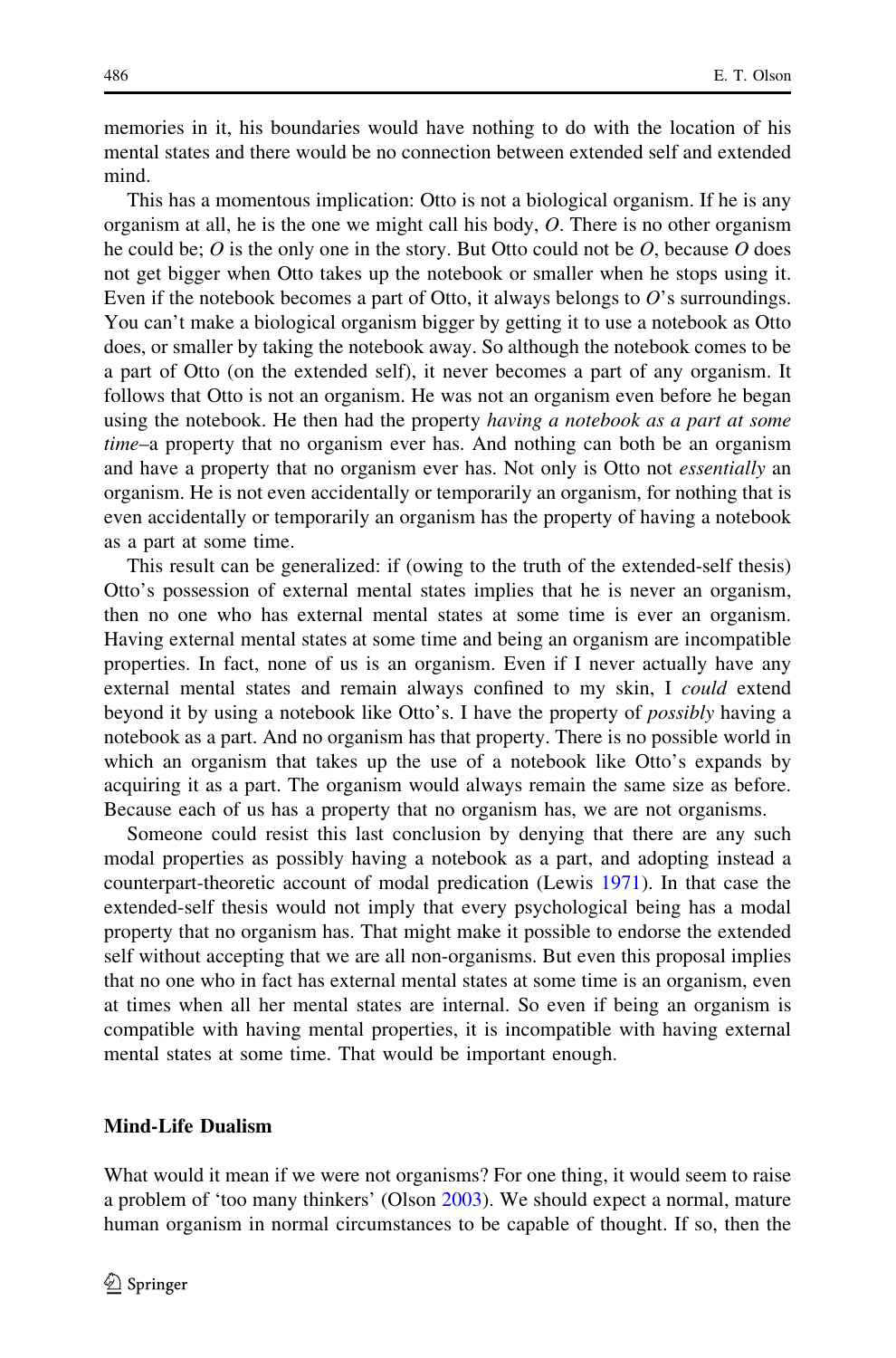memories in it, his boundaries would have nothing to do with the location of his mental states and there would be no connection between extended self and extended mind.

This has a momentous implication: Otto is not a biological organism. If he is any organism at all, he is the one we might call his body, O. There is no other organism he could be; O is the only one in the story. But Otto could not be  $O$ , because  $O$  does not get bigger when Otto takes up the notebook or smaller when he stops using it. Even if the notebook becomes a part of Otto, it always belongs to  $O$ 's surroundings. You can't make a biological organism bigger by getting it to use a notebook as Otto does, or smaller by taking the notebook away. So although the notebook comes to be a part of Otto (on the extended self), it never becomes a part of any organism. It follows that Otto is not an organism. He was not an organism even before he began using the notebook. He then had the property *having a notebook as a part at some* time–a property that no organism ever has. And nothing can both be an organism and have a property that no organism ever has. Not only is Otto not *essentially* an organism. He is not even accidentally or temporarily an organism, for nothing that is even accidentally or temporarily an organism has the property of having a notebook as a part at some time.

This result can be generalized: if (owing to the truth of the extended-self thesis) Otto's possession of external mental states implies that he is never an organism, then no one who has external mental states at some time is ever an organism. Having external mental states at some time and being an organism are incompatible properties. In fact, none of us is an organism. Even if I never actually have any external mental states and remain always confined to my skin, I could extend beyond it by using a notebook like Otto's. I have the property of possibly having a notebook as a part. And no organism has that property. There is no possible world in which an organism that takes up the use of a notebook like Otto's expands by acquiring it as a part. The organism would always remain the same size as before. Because each of us has a property that no organism has, we are not organisms.

Someone could resist this last conclusion by denying that there are any such modal properties as possibly having a notebook as a part, and adopting instead a counterpart-theoretic account of modal predication (Lewis [1971\)](#page-14-0). In that case the extended-self thesis would not imply that every psychological being has a modal property that no organism has. That might make it possible to endorse the extended self without accepting that we are all non-organisms. But even this proposal implies that no one who in fact has external mental states at some time is an organism, even at times when all her mental states are internal. So even if being an organism is compatible with having mental properties, it is incompatible with having external mental states at some time. That would be important enough.

## Mind-Life Dualism

What would it mean if we were not organisms? For one thing, it would seem to raise a problem of 'too many thinkers' (Olson [2003\)](#page-14-0). We should expect a normal, mature human organism in normal circumstances to be capable of thought. If so, then the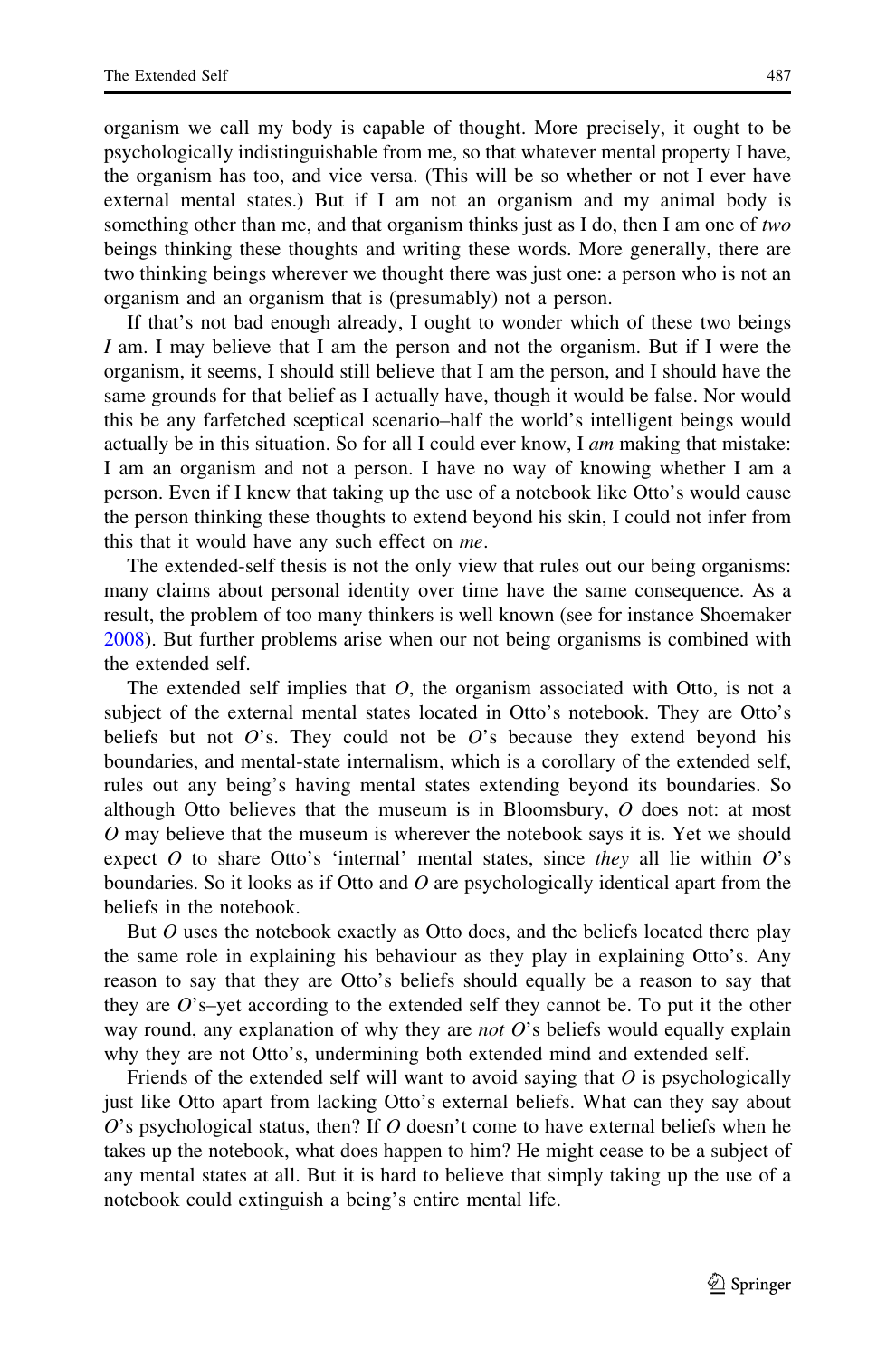organism we call my body is capable of thought. More precisely, it ought to be psychologically indistinguishable from me, so that whatever mental property I have, the organism has too, and vice versa. (This will be so whether or not I ever have external mental states.) But if I am not an organism and my animal body is something other than me, and that organism thinks just as I do, then I am one of two beings thinking these thoughts and writing these words. More generally, there are two thinking beings wherever we thought there was just one: a person who is not an organism and an organism that is (presumably) not a person.

If that's not bad enough already, I ought to wonder which of these two beings I am. I may believe that I am the person and not the organism. But if I were the organism, it seems, I should still believe that I am the person, and I should have the same grounds for that belief as I actually have, though it would be false. Nor would this be any farfetched sceptical scenario–half the world's intelligent beings would actually be in this situation. So for all I could ever know, I am making that mistake: I am an organism and not a person. I have no way of knowing whether I am a person. Even if I knew that taking up the use of a notebook like Otto's would cause the person thinking these thoughts to extend beyond his skin, I could not infer from this that it would have any such effect on me.

The extended-self thesis is not the only view that rules out our being organisms: many claims about personal identity over time have the same consequence. As a result, the problem of too many thinkers is well known (see for instance Shoemaker [2008\)](#page-14-0). But further problems arise when our not being organisms is combined with the extended self.

The extended self implies that  $O$ , the organism associated with Otto, is not a subject of the external mental states located in Otto's notebook. They are Otto's beliefs but not  $O$ 's. They could not be  $O$ 's because they extend beyond his boundaries, and mental-state internalism, which is a corollary of the extended self, rules out any being's having mental states extending beyond its boundaries. So although Otto believes that the museum is in Bloomsbury,  $O$  does not: at most O may believe that the museum is wherever the notebook says it is. Yet we should expect O to share Otto's 'internal' mental states, since they all lie within  $O$ 's boundaries. So it looks as if Otto and  $O$  are psychologically identical apart from the beliefs in the notebook.

But O uses the notebook exactly as Otto does, and the beliefs located there play the same role in explaining his behaviour as they play in explaining Otto's. Any reason to say that they are Otto's beliefs should equally be a reason to say that they are  $O$ 's–yet according to the extended self they cannot be. To put it the other way round, any explanation of why they are *not*  $O$ 's beliefs would equally explain why they are not Otto's, undermining both extended mind and extended self.

Friends of the extended self will want to avoid saying that  $O$  is psychologically just like Otto apart from lacking Otto's external beliefs. What can they say about  $O$ 's psychological status, then? If O doesn't come to have external beliefs when he takes up the notebook, what does happen to him? He might cease to be a subject of any mental states at all. But it is hard to believe that simply taking up the use of a notebook could extinguish a being's entire mental life.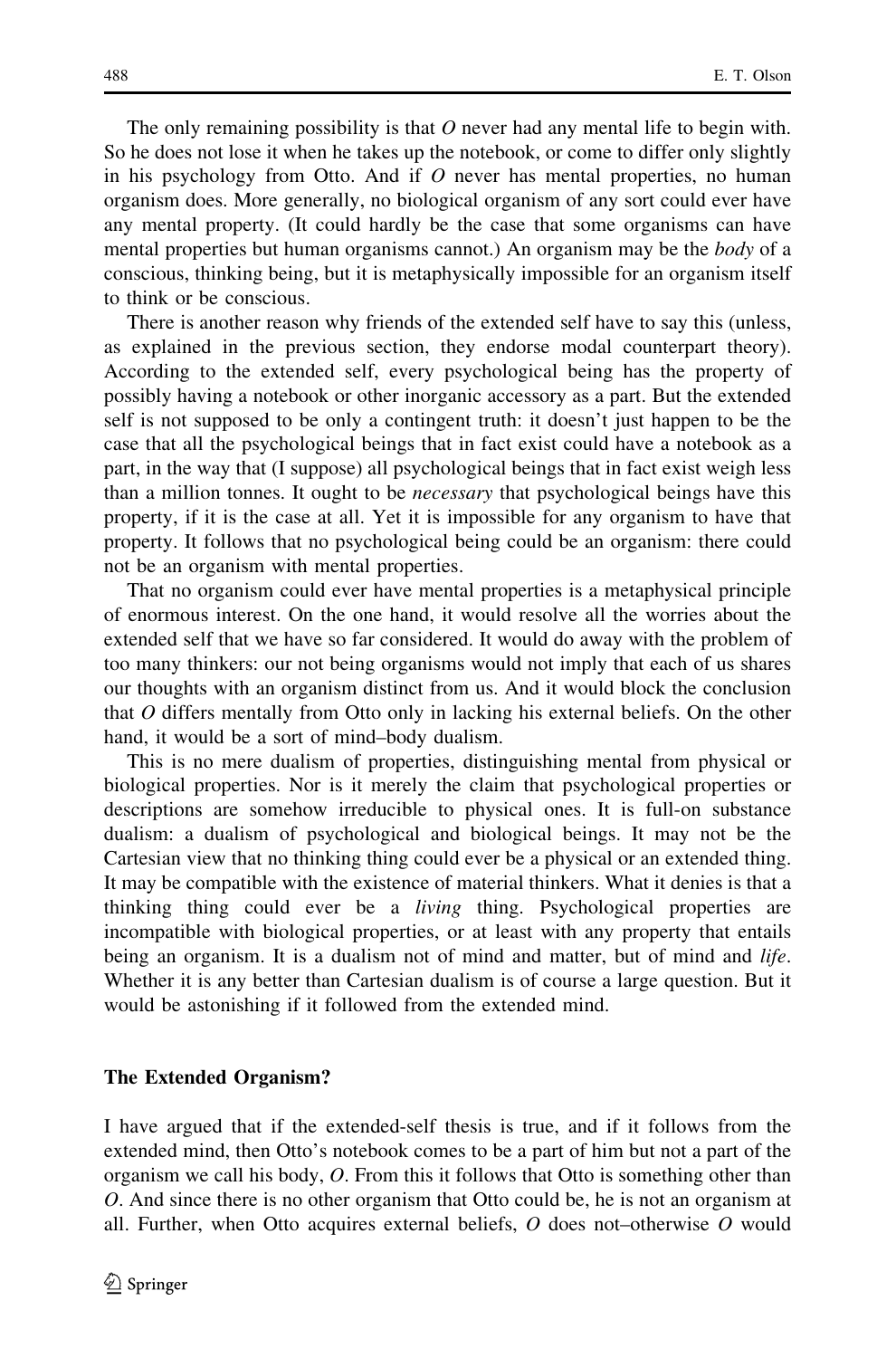The only remaining possibility is that  $O$  never had any mental life to begin with. So he does not lose it when he takes up the notebook, or come to differ only slightly in his psychology from Otto. And if  $O$  never has mental properties, no human organism does. More generally, no biological organism of any sort could ever have any mental property. (It could hardly be the case that some organisms can have mental properties but human organisms cannot.) An organism may be the *body* of a conscious, thinking being, but it is metaphysically impossible for an organism itself to think or be conscious.

There is another reason why friends of the extended self have to say this (unless, as explained in the previous section, they endorse modal counterpart theory). According to the extended self, every psychological being has the property of possibly having a notebook or other inorganic accessory as a part. But the extended self is not supposed to be only a contingent truth: it doesn't just happen to be the case that all the psychological beings that in fact exist could have a notebook as a part, in the way that (I suppose) all psychological beings that in fact exist weigh less than a million tonnes. It ought to be *necessary* that psychological beings have this property, if it is the case at all. Yet it is impossible for any organism to have that property. It follows that no psychological being could be an organism: there could not be an organism with mental properties.

That no organism could ever have mental properties is a metaphysical principle of enormous interest. On the one hand, it would resolve all the worries about the extended self that we have so far considered. It would do away with the problem of too many thinkers: our not being organisms would not imply that each of us shares our thoughts with an organism distinct from us. And it would block the conclusion that  $O$  differs mentally from Otto only in lacking his external beliefs. On the other hand, it would be a sort of mind–body dualism.

This is no mere dualism of properties, distinguishing mental from physical or biological properties. Nor is it merely the claim that psychological properties or descriptions are somehow irreducible to physical ones. It is full-on substance dualism: a dualism of psychological and biological beings. It may not be the Cartesian view that no thinking thing could ever be a physical or an extended thing. It may be compatible with the existence of material thinkers. What it denies is that a thinking thing could ever be a living thing. Psychological properties are incompatible with biological properties, or at least with any property that entails being an organism. It is a dualism not of mind and matter, but of mind and *life*. Whether it is any better than Cartesian dualism is of course a large question. But it would be astonishing if it followed from the extended mind.

#### The Extended Organism?

I have argued that if the extended-self thesis is true, and if it follows from the extended mind, then Otto's notebook comes to be a part of him but not a part of the organism we call his body, O. From this it follows that Otto is something other than O. And since there is no other organism that Otto could be, he is not an organism at all. Further, when Otto acquires external beliefs,  $O$  does not–otherwise  $O$  would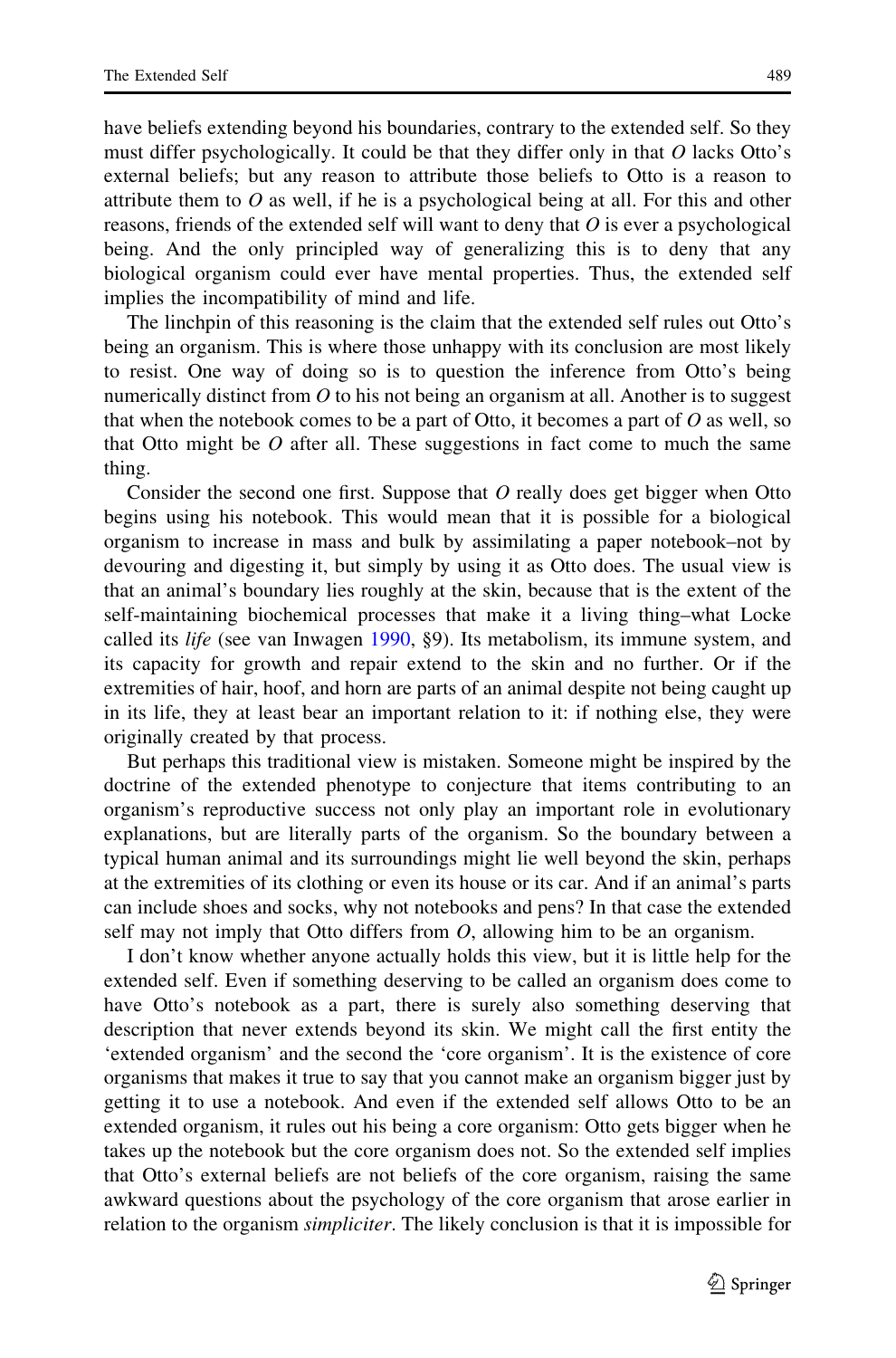have beliefs extending beyond his boundaries, contrary to the extended self. So they must differ psychologically. It could be that they differ only in that  $O$  lacks Otto's external beliefs; but any reason to attribute those beliefs to Otto is a reason to attribute them to  $\hat{O}$  as well, if he is a psychological being at all. For this and other reasons, friends of the extended self will want to deny that  $O$  is ever a psychological being. And the only principled way of generalizing this is to deny that any biological organism could ever have mental properties. Thus, the extended self implies the incompatibility of mind and life.

The linchpin of this reasoning is the claim that the extended self rules out Otto's being an organism. This is where those unhappy with its conclusion are most likely to resist. One way of doing so is to question the inference from Otto's being numerically distinct from  $O$  to his not being an organism at all. Another is to suggest that when the notebook comes to be a part of Otto, it becomes a part of  $O$  as well, so that Otto might be  $O$  after all. These suggestions in fact come to much the same thing.

Consider the second one first. Suppose that O really does get bigger when Otto begins using his notebook. This would mean that it is possible for a biological organism to increase in mass and bulk by assimilating a paper notebook–not by devouring and digesting it, but simply by using it as Otto does. The usual view is that an animal's boundary lies roughly at the skin, because that is the extent of the self-maintaining biochemical processes that make it a living thing–what Locke called its life (see van Inwagen [1990](#page-14-0), §9). Its metabolism, its immune system, and its capacity for growth and repair extend to the skin and no further. Or if the extremities of hair, hoof, and horn are parts of an animal despite not being caught up in its life, they at least bear an important relation to it: if nothing else, they were originally created by that process.

But perhaps this traditional view is mistaken. Someone might be inspired by the doctrine of the extended phenotype to conjecture that items contributing to an organism's reproductive success not only play an important role in evolutionary explanations, but are literally parts of the organism. So the boundary between a typical human animal and its surroundings might lie well beyond the skin, perhaps at the extremities of its clothing or even its house or its car. And if an animal's parts can include shoes and socks, why not notebooks and pens? In that case the extended self may not imply that Otto differs from  $O$ , allowing him to be an organism.

I don't know whether anyone actually holds this view, but it is little help for the extended self. Even if something deserving to be called an organism does come to have Otto's notebook as a part, there is surely also something deserving that description that never extends beyond its skin. We might call the first entity the 'extended organism' and the second the 'core organism'. It is the existence of core organisms that makes it true to say that you cannot make an organism bigger just by getting it to use a notebook. And even if the extended self allows Otto to be an extended organism, it rules out his being a core organism: Otto gets bigger when he takes up the notebook but the core organism does not. So the extended self implies that Otto's external beliefs are not beliefs of the core organism, raising the same awkward questions about the psychology of the core organism that arose earlier in relation to the organism *simpliciter*. The likely conclusion is that it is impossible for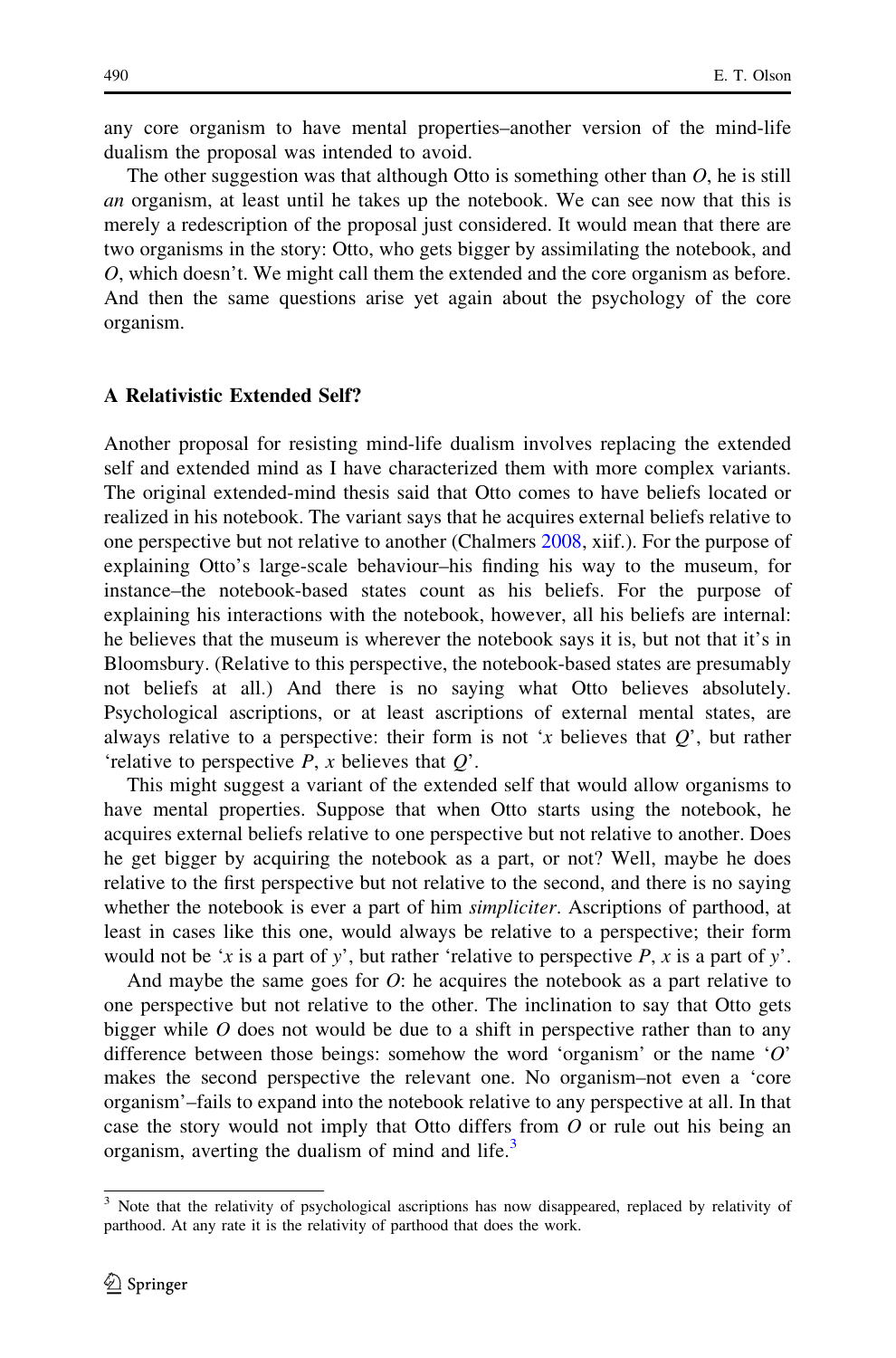<span id="page-9-0"></span>any core organism to have mental properties–another version of the mind-life dualism the proposal was intended to avoid.

The other suggestion was that although Otto is something other than  $O$ , he is still an organism, at least until he takes up the notebook. We can see now that this is merely a redescription of the proposal just considered. It would mean that there are two organisms in the story: Otto, who gets bigger by assimilating the notebook, and O, which doesn't. We might call them the extended and the core organism as before. And then the same questions arise yet again about the psychology of the core organism.

#### A Relativistic Extended Self?

Another proposal for resisting mind-life dualism involves replacing the extended self and extended mind as I have characterized them with more complex variants. The original extended-mind thesis said that Otto comes to have beliefs located or realized in his notebook. The variant says that he acquires external beliefs relative to one perspective but not relative to another (Chalmers [2008,](#page-14-0) xiif.). For the purpose of explaining Otto's large-scale behaviour–his finding his way to the museum, for instance–the notebook-based states count as his beliefs. For the purpose of explaining his interactions with the notebook, however, all his beliefs are internal: he believes that the museum is wherever the notebook says it is, but not that it's in Bloomsbury. (Relative to this perspective, the notebook-based states are presumably not beliefs at all.) And there is no saying what Otto believes absolutely. Psychological ascriptions, or at least ascriptions of external mental states, are always relative to a perspective: their form is not 'x believes that  $Q$ ', but rather 'relative to perspective  $P$ , x believes that  $Q$ '.

This might suggest a variant of the extended self that would allow organisms to have mental properties. Suppose that when Otto starts using the notebook, he acquires external beliefs relative to one perspective but not relative to another. Does he get bigger by acquiring the notebook as a part, or not? Well, maybe he does relative to the first perspective but not relative to the second, and there is no saying whether the notebook is ever a part of him *simpliciter*. Ascriptions of parthood, at least in cases like this one, would always be relative to a perspective; their form would not be 'x is a part of y', but rather 'relative to perspective  $P$ , x is a part of y'.

And maybe the same goes for  $O$ : he acquires the notebook as a part relative to one perspective but not relative to the other. The inclination to say that Otto gets bigger while  $O$  does not would be due to a shift in perspective rather than to any difference between those beings: somehow the word 'organism' or the name 'O' makes the second perspective the relevant one. No organism–not even a 'core organism'–fails to expand into the notebook relative to any perspective at all. In that case the story would not imply that Otto differs from  $O$  or rule out his being an organism, averting the dualism of mind and life. $3$ 

<sup>&</sup>lt;sup>3</sup> Note that the relativity of psychological ascriptions has now disappeared, replaced by relativity of parthood. At any rate it is the relativity of parthood that does the work.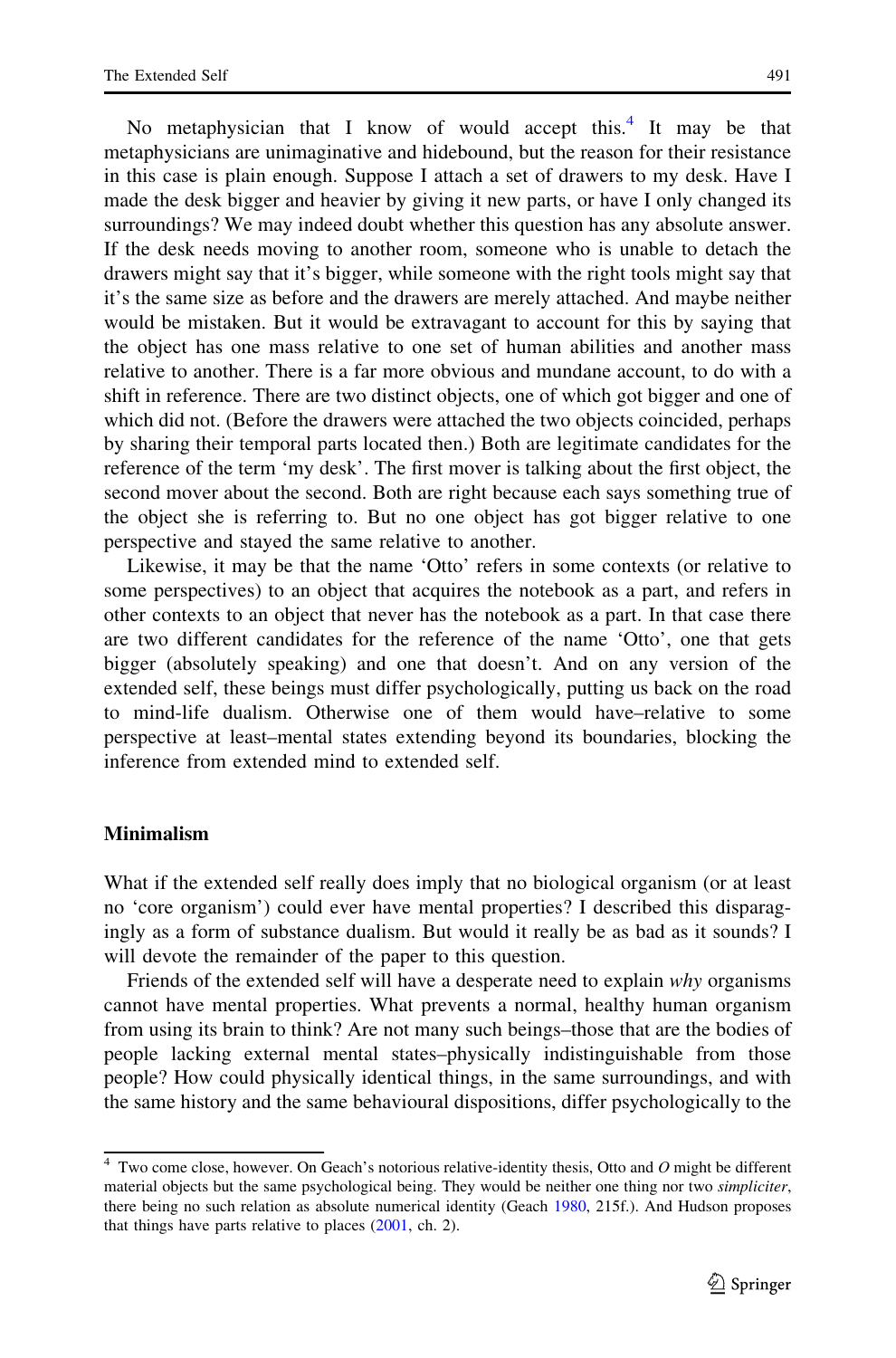No metaphysician that I know of would accept this.<sup>4</sup> It may be that metaphysicians are unimaginative and hidebound, but the reason for their resistance in this case is plain enough. Suppose I attach a set of drawers to my desk. Have I made the desk bigger and heavier by giving it new parts, or have I only changed its surroundings? We may indeed doubt whether this question has any absolute answer. If the desk needs moving to another room, someone who is unable to detach the drawers might say that it's bigger, while someone with the right tools might say that it's the same size as before and the drawers are merely attached. And maybe neither would be mistaken. But it would be extravagant to account for this by saying that the object has one mass relative to one set of human abilities and another mass relative to another. There is a far more obvious and mundane account, to do with a shift in reference. There are two distinct objects, one of which got bigger and one of which did not. (Before the drawers were attached the two objects coincided, perhaps by sharing their temporal parts located then.) Both are legitimate candidates for the reference of the term 'my desk'. The first mover is talking about the first object, the second mover about the second. Both are right because each says something true of the object she is referring to. But no one object has got bigger relative to one perspective and stayed the same relative to another.

Likewise, it may be that the name 'Otto' refers in some contexts (or relative to some perspectives) to an object that acquires the notebook as a part, and refers in other contexts to an object that never has the notebook as a part. In that case there are two different candidates for the reference of the name 'Otto', one that gets bigger (absolutely speaking) and one that doesn't. And on any version of the extended self, these beings must differ psychologically, putting us back on the road to mind-life dualism. Otherwise one of them would have–relative to some perspective at least–mental states extending beyond its boundaries, blocking the inference from extended mind to extended self.

## Minimalism

What if the extended self really does imply that no biological organism (or at least no 'core organism') could ever have mental properties? I described this disparagingly as a form of substance dualism. But would it really be as bad as it sounds? I will devote the remainder of the paper to this question.

Friends of the extended self will have a desperate need to explain why organisms cannot have mental properties. What prevents a normal, healthy human organism from using its brain to think? Are not many such beings–those that are the bodies of people lacking external mental states–physically indistinguishable from those people? How could physically identical things, in the same surroundings, and with the same history and the same behavioural dispositions, differ psychologically to the

 $4$  Two come close, however. On Geach's notorious relative-identity thesis, Otto and O might be different material objects but the same psychological being. They would be neither one thing nor two simpliciter, there being no such relation as absolute numerical identity (Geach [1980,](#page-14-0) 215f.). And Hudson proposes that things have parts relative to places  $(2001, ch. 2)$  $(2001, ch. 2)$ .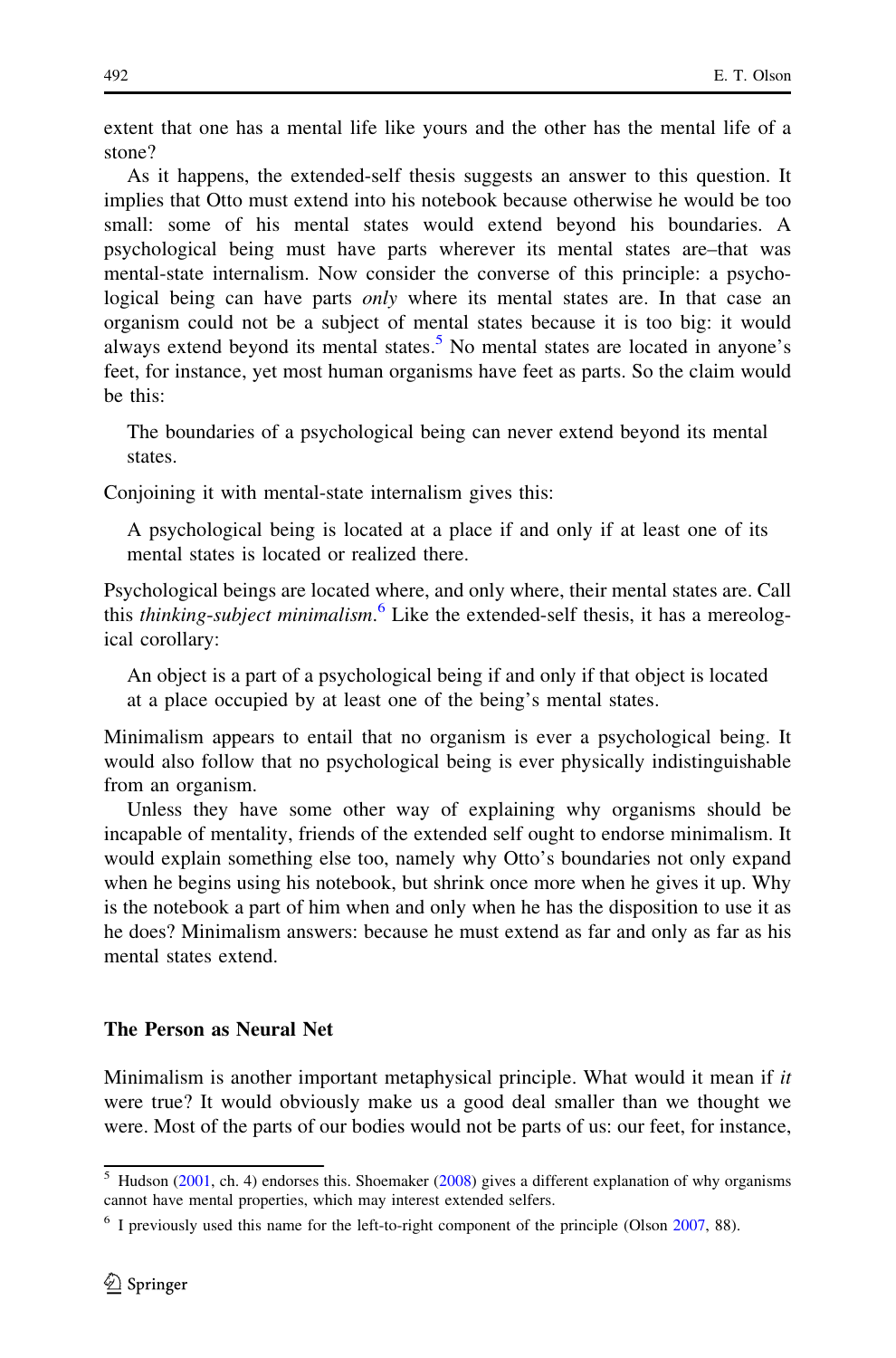extent that one has a mental life like yours and the other has the mental life of a stone?

As it happens, the extended-self thesis suggests an answer to this question. It implies that Otto must extend into his notebook because otherwise he would be too small: some of his mental states would extend beyond his boundaries. A psychological being must have parts wherever its mental states are–that was mental-state internalism. Now consider the converse of this principle: a psychological being can have parts *only* where its mental states are. In that case an organism could not be a subject of mental states because it is too big: it would always extend beyond its mental states.<sup>5</sup> No mental states are located in anyone's feet, for instance, yet most human organisms have feet as parts. So the claim would be this:

The boundaries of a psychological being can never extend beyond its mental states.

Conjoining it with mental-state internalism gives this:

A psychological being is located at a place if and only if at least one of its mental states is located or realized there.

Psychological beings are located where, and only where, their mental states are. Call this *thinking-subject minimalism*.<sup>6</sup> Like the extended-self thesis, it has a mereological corollary:

An object is a part of a psychological being if and only if that object is located at a place occupied by at least one of the being's mental states.

Minimalism appears to entail that no organism is ever a psychological being. It would also follow that no psychological being is ever physically indistinguishable from an organism.

Unless they have some other way of explaining why organisms should be incapable of mentality, friends of the extended self ought to endorse minimalism. It would explain something else too, namely why Otto's boundaries not only expand when he begins using his notebook, but shrink once more when he gives it up. Why is the notebook a part of him when and only when he has the disposition to use it as he does? Minimalism answers: because he must extend as far and only as far as his mental states extend.

## The Person as Neural Net

Minimalism is another important metaphysical principle. What would it mean if it were true? It would obviously make us a good deal smaller than we thought we were. Most of the parts of our bodies would not be parts of us: our feet, for instance,

<sup>5</sup> Hudson ([2001,](#page-14-0) ch. 4) endorses this. Shoemaker [\(2008](#page-14-0)) gives a different explanation of why organisms cannot have mental properties, which may interest extended selfers.

 $6$  I previously used this name for the left-to-right component of the principle (Olson  $2007$ , 88).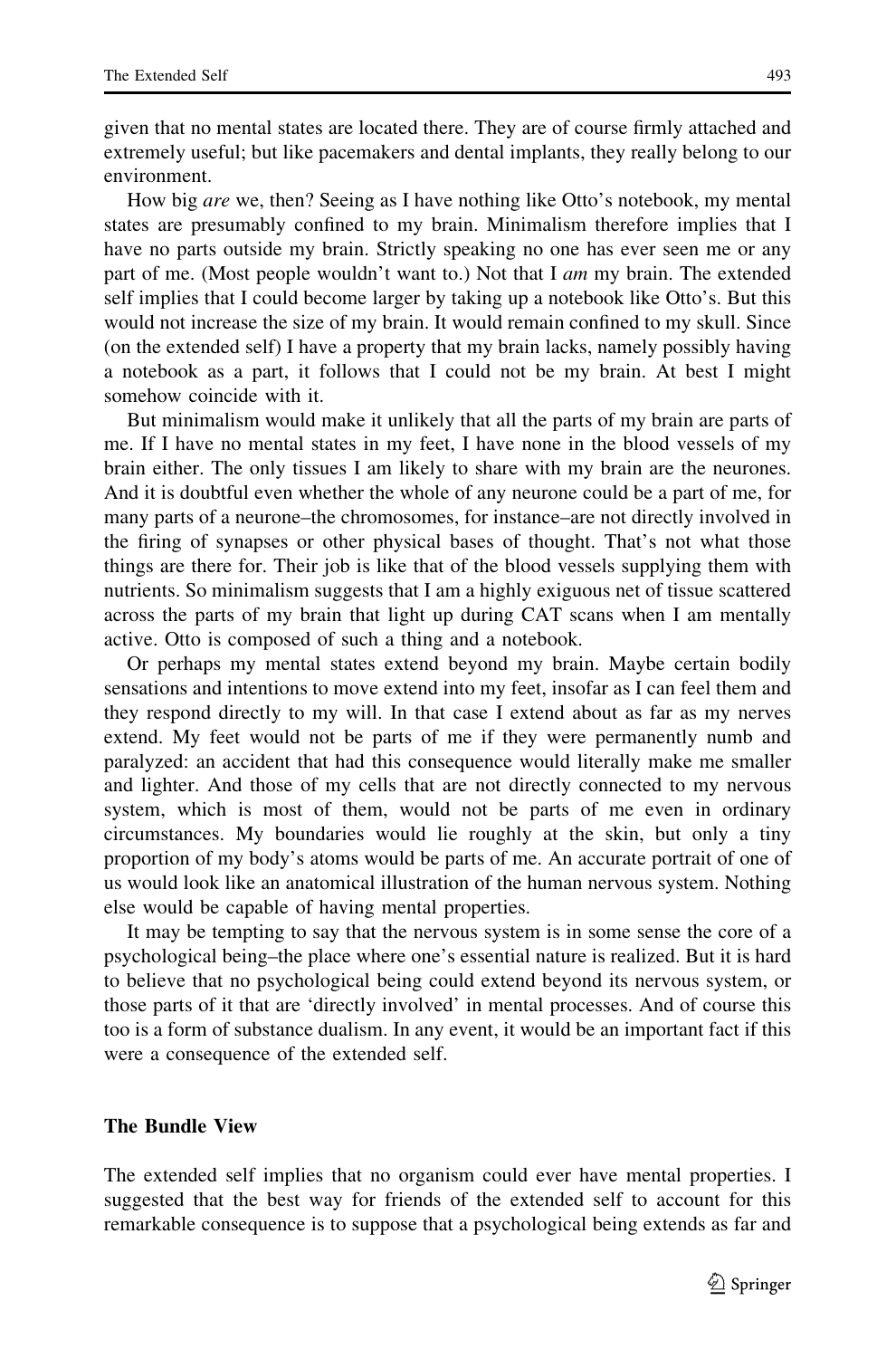given that no mental states are located there. They are of course firmly attached and extremely useful; but like pacemakers and dental implants, they really belong to our environment.

How big are we, then? Seeing as I have nothing like Otto's notebook, my mental states are presumably confined to my brain. Minimalism therefore implies that I have no parts outside my brain. Strictly speaking no one has ever seen me or any part of me. (Most people wouldn't want to.) Not that I *am* my brain. The extended self implies that I could become larger by taking up a notebook like Otto's. But this would not increase the size of my brain. It would remain confined to my skull. Since (on the extended self) I have a property that my brain lacks, namely possibly having a notebook as a part, it follows that I could not be my brain. At best I might somehow coincide with it.

But minimalism would make it unlikely that all the parts of my brain are parts of me. If I have no mental states in my feet, I have none in the blood vessels of my brain either. The only tissues I am likely to share with my brain are the neurones. And it is doubtful even whether the whole of any neurone could be a part of me, for many parts of a neurone–the chromosomes, for instance–are not directly involved in the firing of synapses or other physical bases of thought. That's not what those things are there for. Their job is like that of the blood vessels supplying them with nutrients. So minimalism suggests that I am a highly exiguous net of tissue scattered across the parts of my brain that light up during CAT scans when I am mentally active. Otto is composed of such a thing and a notebook.

Or perhaps my mental states extend beyond my brain. Maybe certain bodily sensations and intentions to move extend into my feet, insofar as I can feel them and they respond directly to my will. In that case I extend about as far as my nerves extend. My feet would not be parts of me if they were permanently numb and paralyzed: an accident that had this consequence would literally make me smaller and lighter. And those of my cells that are not directly connected to my nervous system, which is most of them, would not be parts of me even in ordinary circumstances. My boundaries would lie roughly at the skin, but only a tiny proportion of my body's atoms would be parts of me. An accurate portrait of one of us would look like an anatomical illustration of the human nervous system. Nothing else would be capable of having mental properties.

It may be tempting to say that the nervous system is in some sense the core of a psychological being–the place where one's essential nature is realized. But it is hard to believe that no psychological being could extend beyond its nervous system, or those parts of it that are 'directly involved' in mental processes. And of course this too is a form of substance dualism. In any event, it would be an important fact if this were a consequence of the extended self.

#### The Bundle View

The extended self implies that no organism could ever have mental properties. I suggested that the best way for friends of the extended self to account for this remarkable consequence is to suppose that a psychological being extends as far and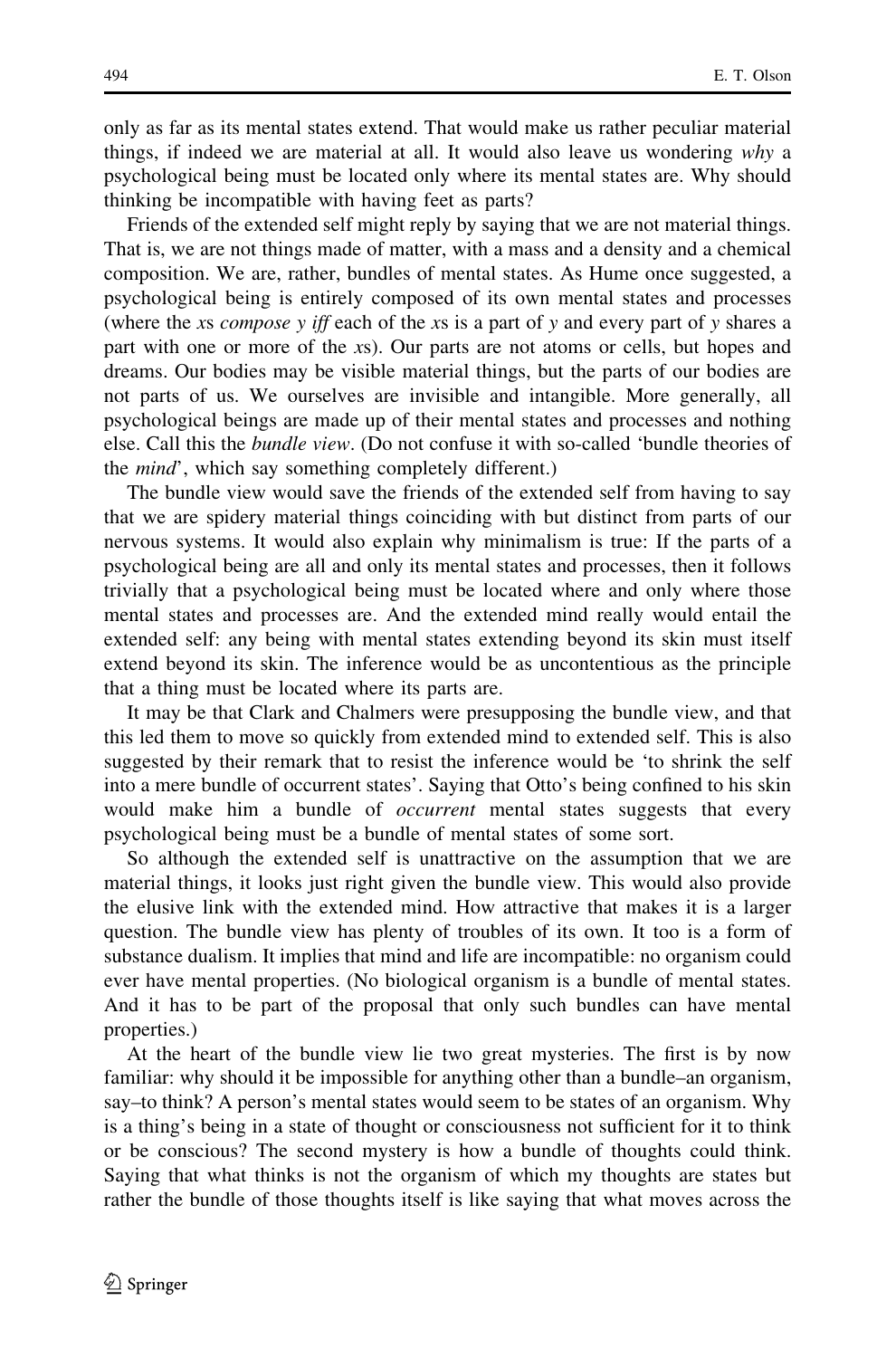only as far as its mental states extend. That would make us rather peculiar material things, if indeed we are material at all. It would also leave us wondering why a psychological being must be located only where its mental states are. Why should thinking be incompatible with having feet as parts?

Friends of the extended self might reply by saying that we are not material things. That is, we are not things made of matter, with a mass and a density and a chemical composition. We are, rather, bundles of mental states. As Hume once suggested, a psychological being is entirely composed of its own mental states and processes (where the xs compose y iff each of the xs is a part of y and every part of y shares a part with one or more of the xs). Our parts are not atoms or cells, but hopes and dreams. Our bodies may be visible material things, but the parts of our bodies are not parts of us. We ourselves are invisible and intangible. More generally, all psychological beings are made up of their mental states and processes and nothing else. Call this the bundle view. (Do not confuse it with so-called 'bundle theories of the *mind*', which say something completely different.)

The bundle view would save the friends of the extended self from having to say that we are spidery material things coinciding with but distinct from parts of our nervous systems. It would also explain why minimalism is true: If the parts of a psychological being are all and only its mental states and processes, then it follows trivially that a psychological being must be located where and only where those mental states and processes are. And the extended mind really would entail the extended self: any being with mental states extending beyond its skin must itself extend beyond its skin. The inference would be as uncontentious as the principle that a thing must be located where its parts are.

It may be that Clark and Chalmers were presupposing the bundle view, and that this led them to move so quickly from extended mind to extended self. This is also suggested by their remark that to resist the inference would be 'to shrink the self into a mere bundle of occurrent states'. Saying that Otto's being confined to his skin would make him a bundle of *occurrent* mental states suggests that every psychological being must be a bundle of mental states of some sort.

So although the extended self is unattractive on the assumption that we are material things, it looks just right given the bundle view. This would also provide the elusive link with the extended mind. How attractive that makes it is a larger question. The bundle view has plenty of troubles of its own. It too is a form of substance dualism. It implies that mind and life are incompatible: no organism could ever have mental properties. (No biological organism is a bundle of mental states. And it has to be part of the proposal that only such bundles can have mental properties.)

At the heart of the bundle view lie two great mysteries. The first is by now familiar: why should it be impossible for anything other than a bundle–an organism, say–to think? A person's mental states would seem to be states of an organism. Why is a thing's being in a state of thought or consciousness not sufficient for it to think or be conscious? The second mystery is how a bundle of thoughts could think. Saying that what thinks is not the organism of which my thoughts are states but rather the bundle of those thoughts itself is like saying that what moves across the